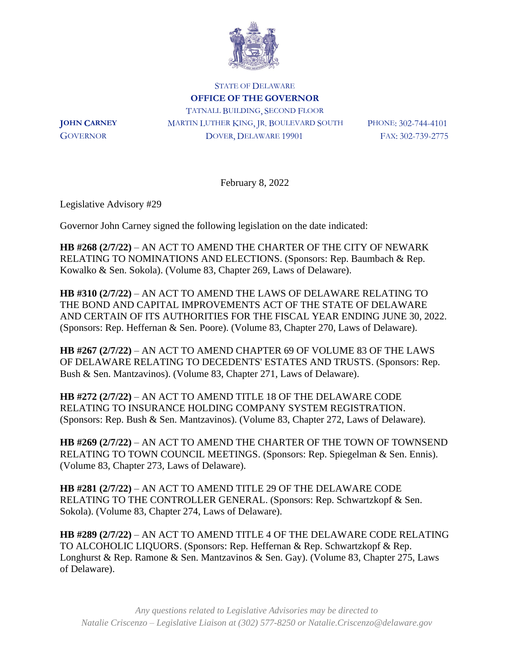

STATE OF DELAWARE **OFFICE OF THE GOVERNOR** TATNALL BUILDING, SECOND FLOOR **JOHN CARNEY** MARTIN LUTHER KING, JR. BOULEVARD SOUTH PHONE: 302-744-4101 GOVERNOR DOVER, DELAWARE 19901 FAX: 302-739-2775

February 8, 2022

Legislative Advisory #29

Governor John Carney signed the following legislation on the date indicated:

**HB #268 (2/7/22)** – AN ACT TO AMEND THE CHARTER OF THE CITY OF NEWARK RELATING TO NOMINATIONS AND ELECTIONS. (Sponsors: Rep. Baumbach & Rep. Kowalko & Sen. Sokola). (Volume 83, Chapter 269, Laws of Delaware).

**HB #310 (2/7/22)** – AN ACT TO AMEND THE LAWS OF DELAWARE RELATING TO THE BOND AND CAPITAL IMPROVEMENTS ACT OF THE STATE OF DELAWARE AND CERTAIN OF ITS AUTHORITIES FOR THE FISCAL YEAR ENDING JUNE 30, 2022. (Sponsors: Rep. Heffernan & Sen. Poore). (Volume 83, Chapter 270, Laws of Delaware).

**HB #267 (2/7/22)** – AN ACT TO AMEND CHAPTER 69 OF VOLUME 83 OF THE LAWS OF DELAWARE RELATING TO DECEDENTS' ESTATES AND TRUSTS. (Sponsors: Rep. Bush & Sen. Mantzavinos). (Volume 83, Chapter 271, Laws of Delaware).

**HB #272 (2/7/22)** – AN ACT TO AMEND TITLE 18 OF THE DELAWARE CODE RELATING TO INSURANCE HOLDING COMPANY SYSTEM REGISTRATION. (Sponsors: Rep. Bush & Sen. Mantzavinos). (Volume 83, Chapter 272, Laws of Delaware).

**HB #269 (2/7/22)** – AN ACT TO AMEND THE CHARTER OF THE TOWN OF TOWNSEND RELATING TO TOWN COUNCIL MEETINGS. (Sponsors: Rep. Spiegelman & Sen. Ennis). (Volume 83, Chapter 273, Laws of Delaware).

**HB #281 (2/7/22)** – AN ACT TO AMEND TITLE 29 OF THE DELAWARE CODE RELATING TO THE CONTROLLER GENERAL. (Sponsors: Rep. Schwartzkopf & Sen. Sokola). (Volume 83, Chapter 274, Laws of Delaware).

**HB #289 (2/7/22)** – AN ACT TO AMEND TITLE 4 OF THE DELAWARE CODE RELATING TO ALCOHOLIC LIQUORS. (Sponsors: Rep. Heffernan & Rep. Schwartzkopf & Rep. Longhurst & Rep. Ramone & Sen. Mantzavinos & Sen. Gay). (Volume 83, Chapter 275, Laws of Delaware).